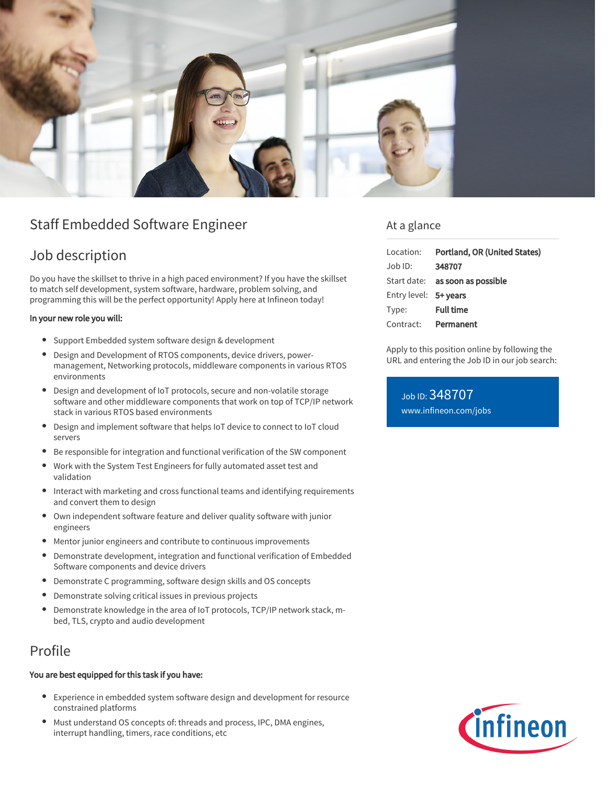

# Staff Embedded Software Engineer

## Job description

Do you have the skillset to thrive in a high paced environment? If you have the skillset to match self development, system software, hardware, problem solving, and programming this will be the perfect opportunity! Apply here at Infineon today!

#### In your new role you will:

- Support Embedded system software design & development
- Design and Development of RTOS components, device drivers, powermanagement, Networking protocols, middleware components in various RTOS environments
- Design and development of IoT protocols, secure and non-volatile storage software and other middleware components that work on top of TCP/IP network stack in various RTOS based environments
- Design and implement software that helps IoT device to connect to IoT cloud servers
- Be responsible for integration and functional verification of the SW component
- Work with the System Test Engineers for fully automated asset test and validation
- Interact with marketing and cross functional teams and identifying requirements and convert them to design
- Own independent software feature and deliver quality software with junior engineers
- Mentor junior engineers and contribute to continuous improvements
- Demonstrate development, integration and functional verification of Embedded  $\bullet$ Software components and device drivers
- Demonstrate C programming, software design skills and OS concepts
- $\bullet$ Demonstrate solving critical issues in previous projects
- Demonstrate knowledge in the area of IoT protocols, TCP/IP network stack, mbed, TLS, crypto and audio development

### Profile

#### You are best equipped for this task if you have:

- Experience in embedded system software design and development for resource constrained platforms
- Must understand OS concepts of: threads and process, IPC, DMA engines, interrupt handling, timers, race conditions, etc

### At a glance

| Location:             | Portland, OR (United States)    |
|-----------------------|---------------------------------|
| Job ID:               | 348707                          |
|                       | Start date: as soon as possible |
| Entry level: 5+ years |                                 |
| Type:                 | <b>Full time</b>                |
| Contract: Permanent   |                                 |

Apply to this position online by following the URL and entering the Job ID in our job search:

Job ID: 348707 [www.infineon.com/jobs](https://www.infineon.com/jobs)

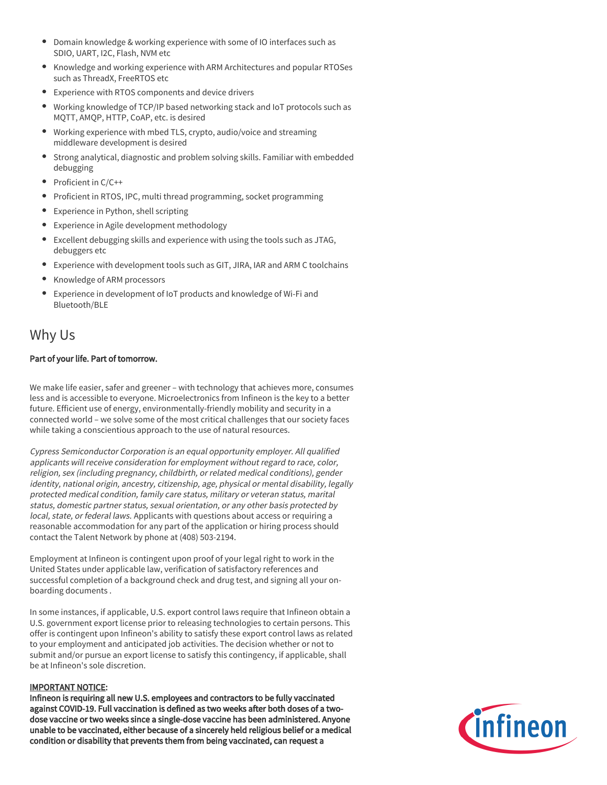- Domain knowledge & working experience with some of IO interfaces such as SDIO, UART, I2C, Flash, NVM etc
- Knowledge and working experience with ARM Architectures and popular RTOSes such as ThreadX, FreeRTOS etc
- Experience with RTOS components and device drivers
- Working knowledge of TCP/IP based networking stack and IoT protocols such as MQTT, AMQP, HTTP, CoAP, etc. is desired
- Working experience with mbed TLS, crypto, audio/voice and streaming middleware development is desired
- Strong analytical, diagnostic and problem solving skills. Familiar with embedded debugging
- $\bullet$  Proficient in C/C++
- Proficient in RTOS, IPC, multi thread programming, socket programming
- Experience in Python, shell scripting
- Experience in Agile development methodology
- Excellent debugging skills and experience with using the tools such as JTAG, debuggers etc
- Experience with development tools such as GIT, JIRA, IAR and ARM C toolchains
- Knowledge of ARM processors  $\bullet$
- Experience in development of IoT products and knowledge of Wi-Fi and Bluetooth/BLE

### Why Us

#### Part of your life. Part of tomorrow.

We make life easier, safer and greener – with technology that achieves more, consumes less and is accessible to everyone. Microelectronics from Infineon is the key to a better future. Efficient use of energy, environmentally-friendly mobility and security in a connected world – we solve some of the most critical challenges that our society faces while taking a conscientious approach to the use of natural resources.

Cypress Semiconductor Corporation is an equal opportunity employer. All qualified applicants will receive consideration for employment without regard to race, color, religion, sex (including pregnancy, childbirth, or related medical conditions), gender identity, national origin, ancestry, citizenship, age, physical or mental disability, legally protected medical condition, family care status, military or veteran status, marital status, domestic partner status, sexual orientation, or any other basis protected by local, state, or federal laws. Applicants with questions about access or requiring a reasonable accommodation for any part of the application or hiring process should contact the Talent Network by phone at (408) 503-2194.

Employment at Infineon is contingent upon proof of your legal right to work in the United States under applicable law, verification of satisfactory references and successful completion of a background check and drug test, and signing all your onboarding documents .

In some instances, if applicable, U.S. export control laws require that Infineon obtain a U.S. government export license prior to releasing technologies to certain persons. This offer is contingent upon Infineon's ability to satisfy these export control laws as related to your employment and anticipated job activities. The decision whether or not to submit and/or pursue an export license to satisfy this contingency, if applicable, shall be at Infineon's sole discretion.

#### IMPORTANT NOTICE:

Infineon is requiring all new U.S. employees and contractors to be fully vaccinated against COVID-19. Full vaccination is defined as two weeks after both doses of a twodose vaccine or two weeks since a single-dose vaccine has been administered. Anyone unable to be vaccinated, either because of a sincerely held religious belief or a medical condition or disability that prevents them from being vaccinated, can request a